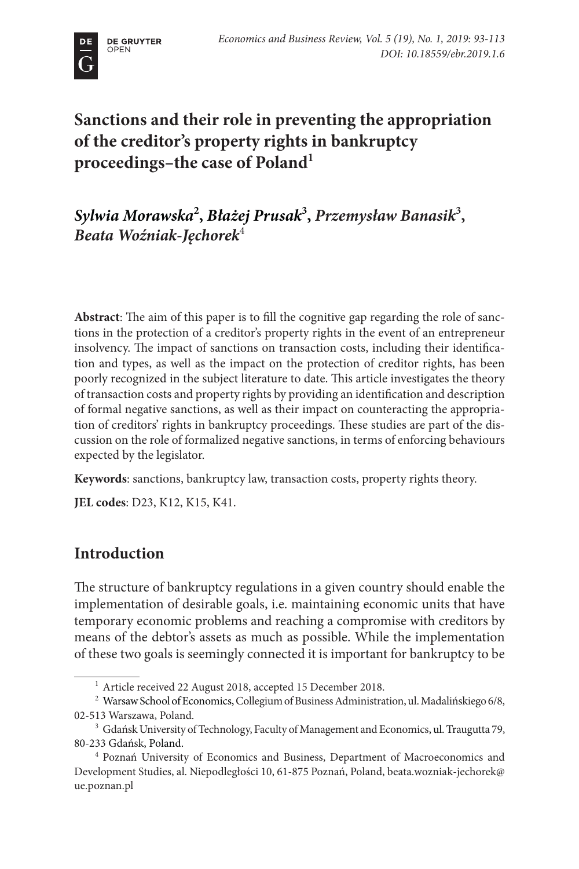

# **Sanctions and their role in preventing the appropriation of the creditor's property rights in bankruptcy proceedings–the case of Poland1**

*Sylwia Morawska***<sup>2</sup> ,** *Błażej Prusak***<sup>3</sup> ,** *Przemysław Banasik***<sup>3</sup> ,**  *Beata Woźniak-Jęchorek*<sup>4</sup>

**Abstract**: The aim of this paper is to fill the cognitive gap regarding the role of sanctions in the protection of a creditor's property rights in the event of an entrepreneur insolvency. The impact of sanctions on transaction costs, including their identification and types, as well as the impact on the protection of creditor rights, has been poorly recognized in the subject literature to date. This article investigates the theory of transaction costs and property rights by providing an identification and description of formal negative sanctions, as well as their impact on counteracting the appropriation of creditors' rights in bankruptcy proceedings. These studies are part of the discussion on the role of formalized negative sanctions, in terms of enforcing behaviours expected by the legislator.

**Keywords**: sanctions, bankruptcy law, transaction costs, property rights theory.

**JEL codes**: D23, K12, K15, K41.

## **Introduction**

The structure of bankruptcy regulations in a given country should enable the implementation of desirable goals, i.e. maintaining economic units that have temporary economic problems and reaching a compromise with creditors by means of the debtor's assets as much as possible. While the implementation of these two goals is seemingly connected it is important for bankruptcy to be

<sup>&</sup>lt;sup>1</sup> Article received 22 August 2018, accepted 15 December 2018.

<sup>&</sup>lt;sup>2</sup> Warsaw School of Economics, Collegium of Business Administration, ul. Madalińskiego 6/8, 02-513 Warszawa, Poland.

<sup>&</sup>lt;sup>3</sup> Gdańsk University of Technology, Faculty of Management and Economics, ul. Traugutta 79, 80-233 Gdańsk, Poland.

<sup>4</sup> Poznań University of Economics and Business, Department of Macroeconomics and Development Studies, al. Niepodległości 10, 61-875 Poznań, Poland, beata.wozniak-jechorek@ ue.poznan.pl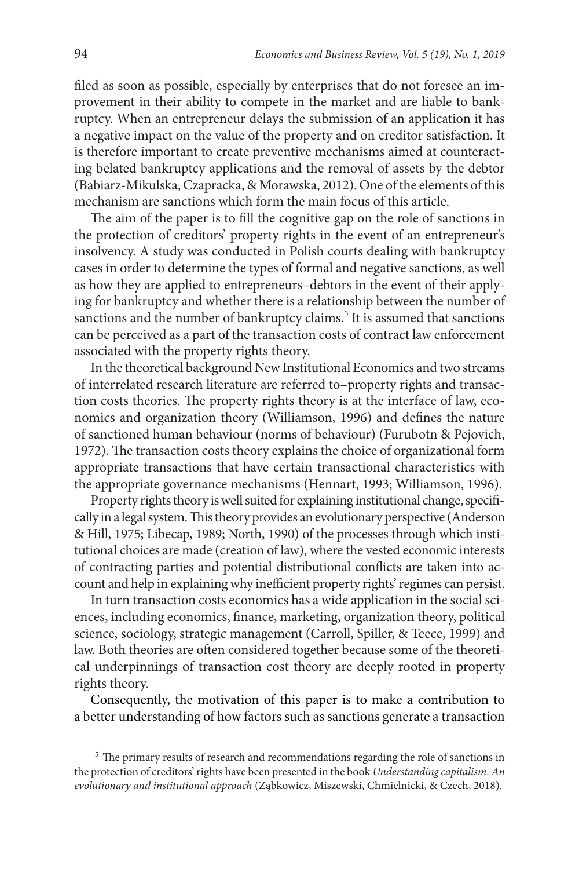filed as soon as possible, especially by enterprises that do not foresee an improvement in their ability to compete in the market and are liable to bankruptcy. When an entrepreneur delays the submission of an application it has a negative impact on the value of the property and on creditor satisfaction. It is therefore important to create preventive mechanisms aimed at counteracting belated bankruptcy applications and the removal of assets by the debtor (Babiarz-Mikulska, Czapracka, & Morawska, 2012). One of the elements of this mechanism are sanctions which form the main focus of this article.

The aim of the paper is to fill the cognitive gap on the role of sanctions in the protection of creditors' property rights in the event of an entrepreneur's insolvency. A study was conducted in Polish courts dealing with bankruptcy cases in order to determine the types of formal and negative sanctions, as well as how they are applied to entrepreneurs–debtors in the event of their applying for bankruptcy and whether there is a relationship between the number of sanctions and the number of bankruptcy claims.<sup>5</sup> It is assumed that sanctions can be perceived as a part of the transaction costs of contract law enforcement associated with the property rights theory.

In the theoretical background New Institutional Economics and two streams of interrelated research literature are referred to–property rights and transaction costs theories. The property rights theory is at the interface of law, economics and organization theory (Williamson, 1996) and defines the nature of sanctioned human behaviour (norms of behaviour) (Furubotn & Pejovich, 1972). The transaction costs theory explains the choice of organizational form appropriate transactions that have certain transactional characteristics with the appropriate governance mechanisms (Hennart, 1993; Williamson, 1996).

Property rights theory is well suited for explaining institutional change, specifically in a legal system. This theory provides an evolutionary perspective (Anderson & Hill, 1975; Libecap, 1989; North, 1990) of the processes through which institutional choices are made (creation of law), where the vested economic interests of contracting parties and potential distributional conflicts are taken into account and help in explaining why inefficient property rights' regimes can persist.

In turn transaction costs economics has a wide application in the social sciences, including economics, finance, marketing, organization theory, political science, sociology, strategic management (Carroll, Spiller, & Teece, 1999) and law. Both theories are often considered together because some of the theoretical underpinnings of transaction cost theory are deeply rooted in property rights theory.

Consequently, the motivation of this paper is to make a contribution to a better understanding of how factors such as sanctions generate a transaction

<sup>&</sup>lt;sup>5</sup> The primary results of research and recommendations regarding the role of sanctions in the protection of creditors' rights have been presented in the book *Understanding capitalism. An evolutionary and institutional approach* (Ząbkowicz, Miszewski, Chmielnicki, & Czech, 2018).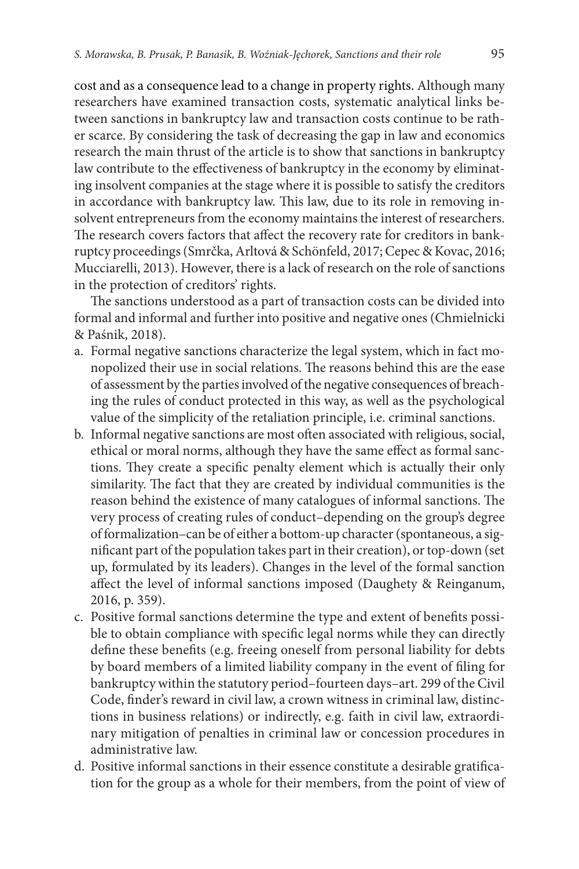cost and as a consequence lead to a change in property rights. Although many researchers have examined transaction costs, systematic analytical links between sanctions in bankruptcy law and transaction costs continue to be rather scarce. By considering the task of decreasing the gap in law and economics research the main thrust of the article is to show that sanctions in bankruptcy law contribute to the effectiveness of bankruptcy in the economy by eliminating insolvent companies at the stage where it is possible to satisfy the creditors in accordance with bankruptcy law. This law, due to its role in removing insolvent entrepreneurs from the economy maintains the interest of researchers. The research covers factors that affect the recovery rate for creditors in bankruptcy proceedings (Smrčka, Arltová & Schönfeld, 2017; Cepec & Kovac, 2016; Mucciarelli, 2013). However, there is a lack of research on the role of sanctions in the protection of creditors' rights.

The sanctions understood as a part of transaction costs can be divided into formal and informal and further into positive and negative ones (Chmielnicki & Paśnik, 2018).

- a. Formal negative sanctions characterize the legal system, which in fact monopolized their use in social relations. The reasons behind this are the ease of assessment by the parties involved of the negative consequences of breaching the rules of conduct protected in this way, as well as the psychological value of the simplicity of the retaliation principle, i.e. criminal sanctions.
- b. Informal negative sanctions are most often associated with religious, social, ethical or moral norms, although they have the same effect as formal sanctions. They create a specific penalty element which is actually their only similarity. The fact that they are created by individual communities is the reason behind the existence of many catalogues of informal sanctions. The very process of creating rules of conduct–depending on the group's degree of formalization–can be of either a bottom-up character (spontaneous, a significant part of the population takes part in their creation), or top-down (set up, formulated by its leaders). Changes in the level of the formal sanction affect the level of informal sanctions imposed (Daughety & Reinganum, 2016, p. 359).
- c. Positive formal sanctions determine the type and extent of benefits possible to obtain compliance with specific legal norms while they can directly define these benefits (e.g. freeing oneself from personal liability for debts by board members of a limited liability company in the event of filing for bankruptcy within the statutory period–fourteen days–art. 299 of the Civil Code, finder's reward in civil law, a crown witness in criminal law, distinctions in business relations) or indirectly, e.g. faith in civil law, extraordinary mitigation of penalties in criminal law or concession procedures in administrative law.
- d. Positive informal sanctions in their essence constitute a desirable gratification for the group as a whole for their members, from the point of view of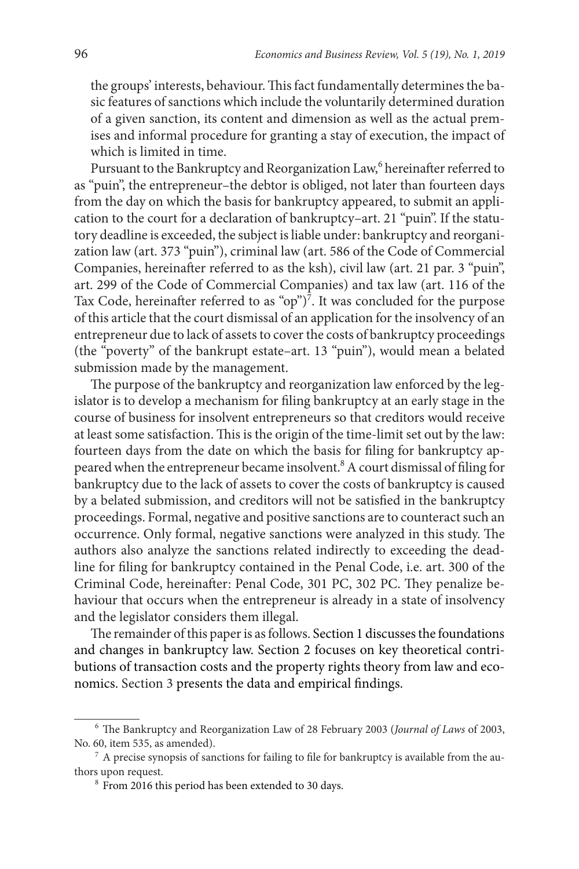the groups' interests, behaviour. This fact fundamentally determines the basic features of sanctions which include the voluntarily determined duration of a given sanction, its content and dimension as well as the actual premises and informal procedure for granting a stay of execution, the impact of which is limited in time.

Pursuant to the Bankruptcy and Reorganization Law,<sup>6</sup> hereinafter referred to as "puin", the entrepreneur–the debtor is obliged, not later than fourteen days from the day on which the basis for bankruptcy appeared, to submit an application to the court for a declaration of bankruptcy–art. 21 "puin". If the statutory deadline is exceeded, the subject is liable under: bankruptcy and reorganization law (art. 373 "puin"), criminal law (art. 586 of the Code of Commercial Companies, hereinafter referred to as the ksh), civil law (art. 21 par. 3 "puin", art. 299 of the Code of Commercial Companies) and tax law (art. 116 of the Tax Code, hereinafter referred to as "op")<sup>7</sup>. It was concluded for the purpose of this article that the court dismissal of an application for the insolvency of an entrepreneur due to lack of assets to cover the costs of bankruptcy proceedings (the "poverty" of the bankrupt estate–art. 13 "puin"), would mean a belated submission made by the management.

The purpose of the bankruptcy and reorganization law enforced by the legislator is to develop a mechanism for filing bankruptcy at an early stage in the course of business for insolvent entrepreneurs so that creditors would receive at least some satisfaction. This is the origin of the time-limit set out by the law: fourteen days from the date on which the basis for filing for bankruptcy appeared when the entrepreneur became insolvent.<sup>8</sup> A court dismissal of filing for bankruptcy due to the lack of assets to cover the costs of bankruptcy is caused by a belated submission, and creditors will not be satisfied in the bankruptcy proceedings. Formal, negative and positive sanctions are to counteract such an occurrence. Only formal, negative sanctions were analyzed in this study. The authors also analyze the sanctions related indirectly to exceeding the deadline for filing for bankruptcy contained in the Penal Code, i.e. art. 300 of the Criminal Code, hereinafter: Penal Code, 301 PC, 302 PC. They penalize behaviour that occurs when the entrepreneur is already in a state of insolvency and the legislator considers them illegal.

The remainder of this paper is as follows. Section 1 discusses the foundations and changes in bankruptcy law. Section 2 focuses on key theoretical contributions of transaction costs and the property rights theory from law and economics. Section 3 presents the data and empirical findings.

<sup>6</sup> The Bankruptcy and Reorganization Law of 28 February 2003 (*Journal of Laws* of 2003, No. 60, item 535, as amended).

 $7 A$  precise synopsis of sanctions for failing to file for bankruptcy is available from the authors upon request.

<sup>8</sup> From 2016 this period has been extended to 30 days.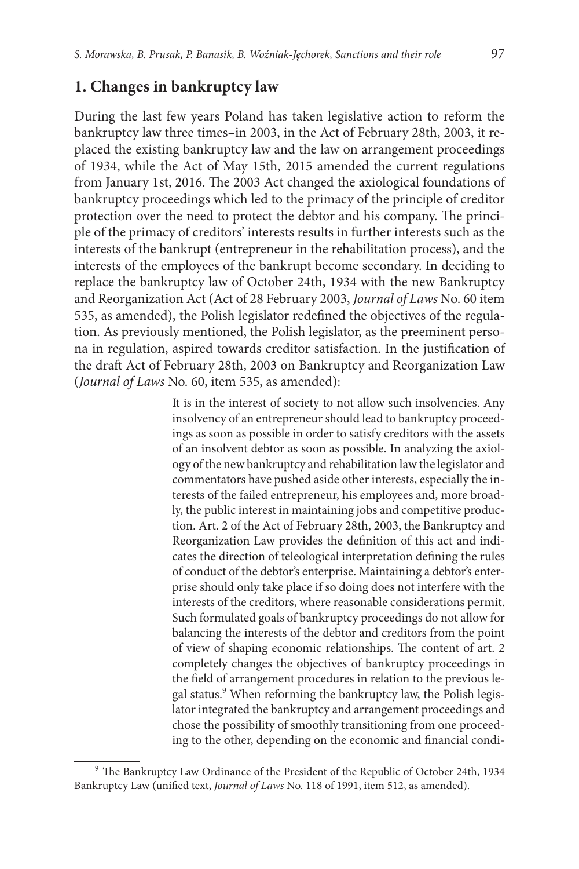## **1. Changes in bankruptcy law**

During the last few years Poland has taken legislative action to reform the bankruptcy law three times–in 2003, in the Act of February 28th, 2003, it replaced the existing bankruptcy law and the law on arrangement proceedings of 1934, while the Act of May 15th, 2015 amended the current regulations from January 1st, 2016. The 2003 Act changed the axiological foundations of bankruptcy proceedings which led to the primacy of the principle of creditor protection over the need to protect the debtor and his company. The principle of the primacy of creditors' interests results in further interests such as the interests of the bankrupt (entrepreneur in the rehabilitation process), and the interests of the employees of the bankrupt become secondary. In deciding to replace the bankruptcy law of October 24th, 1934 with the new Bankruptcy and Reorganization Act (Act of 28 February 2003, *Journal of Laws* No. 60 item 535, as amended), the Polish legislator redefined the objectives of the regulation. As previously mentioned, the Polish legislator, as the preeminent persona in regulation, aspired towards creditor satisfaction. In the justification of the draft Act of February 28th, 2003 on Bankruptcy and Reorganization Law (*Journal of Laws* No. 60, item 535, as amended):

> It is in the interest of society to not allow such insolvencies. Any insolvency of an entrepreneur should lead to bankruptcy proceedings as soon as possible in order to satisfy creditors with the assets of an insolvent debtor as soon as possible. In analyzing the axiology of the new bankruptcy and rehabilitation law the legislator and commentators have pushed aside other interests, especially the interests of the failed entrepreneur, his employees and, more broadly, the public interest in maintaining jobs and competitive production. Art. 2 of the Act of February 28th, 2003, the Bankruptcy and Reorganization Law provides the definition of this act and indicates the direction of teleological interpretation defining the rules of conduct of the debtor's enterprise. Maintaining a debtor's enterprise should only take place if so doing does not interfere with the interests of the creditors, where reasonable considerations permit. Such formulated goals of bankruptcy proceedings do not allow for balancing the interests of the debtor and creditors from the point of view of shaping economic relationships. The content of art. 2 completely changes the objectives of bankruptcy proceedings in the field of arrangement procedures in relation to the previous legal status.<sup>9</sup> When reforming the bankruptcy law, the Polish legislator integrated the bankruptcy and arrangement proceedings and chose the possibility of smoothly transitioning from one proceeding to the other, depending on the economic and financial condi-

<sup>9</sup> The Bankruptcy Law Ordinance of the President of the Republic of October 24th, 1934 Bankruptcy Law (unified text, *Journal of Laws* No. 118 of 1991, item 512, as amended).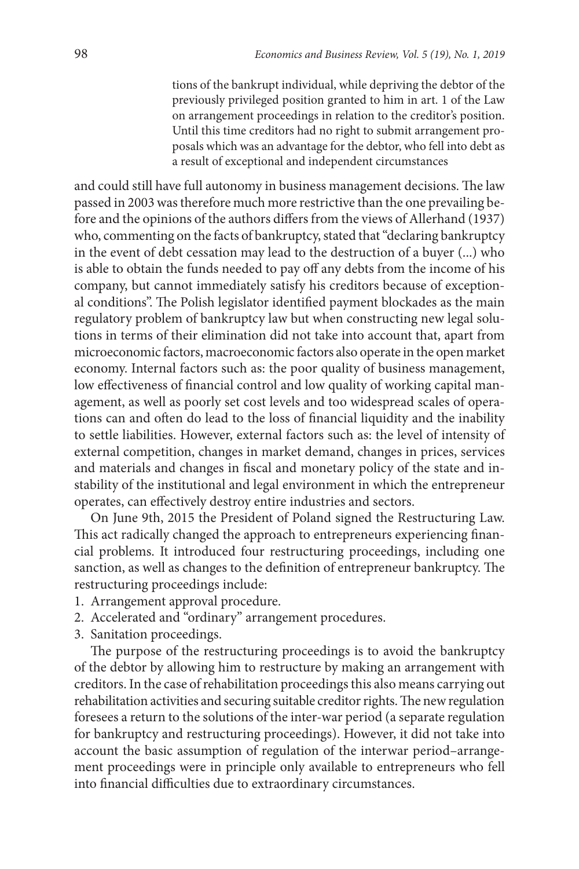tions of the bankrupt individual, while depriving the debtor of the previously privileged position granted to him in art. 1 of the Law on arrangement proceedings in relation to the creditor's position. Until this time creditors had no right to submit arrangement proposals which was an advantage for the debtor, who fell into debt as a result of exceptional and independent circumstances

and could still have full autonomy in business management decisions. The law passed in 2003 was therefore much more restrictive than the one prevailing before and the opinions of the authors differs from the views of Allerhand (1937) who, commenting on the facts of bankruptcy, stated that "declaring bankruptcy in the event of debt cessation may lead to the destruction of a buyer (...) who is able to obtain the funds needed to pay off any debts from the income of his company, but cannot immediately satisfy his creditors because of exceptional conditions". The Polish legislator identified payment blockades as the main regulatory problem of bankruptcy law but when constructing new legal solutions in terms of their elimination did not take into account that, apart from microeconomic factors, macroeconomic factors also operate in the open market economy. Internal factors such as: the poor quality of business management, low effectiveness of financial control and low quality of working capital management, as well as poorly set cost levels and too widespread scales of operations can and often do lead to the loss of financial liquidity and the inability to settle liabilities. However, external factors such as: the level of intensity of external competition, changes in market demand, changes in prices, services and materials and changes in fiscal and monetary policy of the state and instability of the institutional and legal environment in which the entrepreneur operates, can effectively destroy entire industries and sectors.

On June 9th, 2015 the President of Poland signed the Restructuring Law. This act radically changed the approach to entrepreneurs experiencing financial problems. It introduced four restructuring proceedings, including one sanction, as well as changes to the definition of entrepreneur bankruptcy. The restructuring proceedings include:

- 1. Arrangement approval procedure.
- 2. Accelerated and "ordinary" arrangement procedures.
- 3. Sanitation proceedings.

The purpose of the restructuring proceedings is to avoid the bankruptcy of the debtor by allowing him to restructure by making an arrangement with creditors. In the case of rehabilitation proceedings this also means carrying out rehabilitation activities and securing suitable creditor rights. The new regulation foresees a return to the solutions of the inter-war period (a separate regulation for bankruptcy and restructuring proceedings). However, it did not take into account the basic assumption of regulation of the interwar period–arrangement proceedings were in principle only available to entrepreneurs who fell into financial difficulties due to extraordinary circumstances.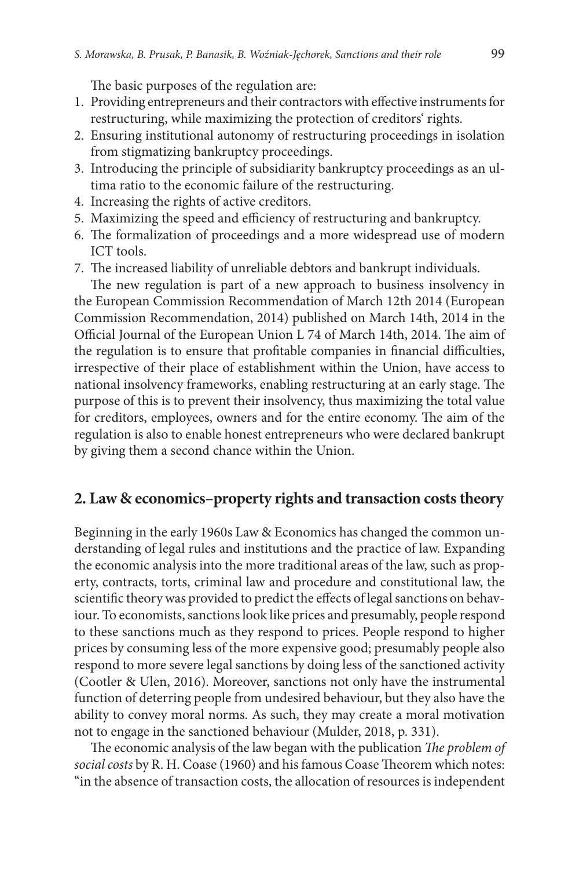The basic purposes of the regulation are:

- 1. Providing entrepreneurs and their contractors with effective instruments for restructuring, while maximizing the protection of creditors' rights.
- 2. Ensuring institutional autonomy of restructuring proceedings in isolation from stigmatizing bankruptcy proceedings.
- 3. Introducing the principle of subsidiarity bankruptcy proceedings as an ultima ratio to the economic failure of the restructuring.
- 4. Increasing the rights of active creditors.
- 5. Maximizing the speed and efficiency of restructuring and bankruptcy.
- 6. The formalization of proceedings and a more widespread use of modern ICT tools.
- 7. The increased liability of unreliable debtors and bankrupt individuals.

The new regulation is part of a new approach to business insolvency in the European Commission Recommendation of March 12th 2014 (European Commission Recommendation, 2014) published on March 14th, 2014 in the Official Journal of the European Union L 74 of March 14th, 2014. The aim of the regulation is to ensure that profitable companies in financial difficulties, irrespective of their place of establishment within the Union, have access to national insolvency frameworks, enabling restructuring at an early stage. The purpose of this is to prevent their insolvency, thus maximizing the total value for creditors, employees, owners and for the entire economy. The aim of the regulation is also to enable honest entrepreneurs who were declared bankrupt by giving them a second chance within the Union.

## **2. Law & economics–property rights and transaction costs theory**

Beginning in the early 1960s Law & Economics has changed the common understanding of legal rules and institutions and the practice of law. Expanding the economic analysis into the more traditional areas of the law, such as property, contracts, torts, criminal law and procedure and constitutional law, the scientific theory was provided to predict the effects of legal sanctions on behaviour. To economists, sanctions look like prices and presumably, people respond to these sanctions much as they respond to prices. People respond to higher prices by consuming less of the more expensive good; presumably people also respond to more severe legal sanctions by doing less of the sanctioned activity (Cootler & Ulen, 2016). Moreover, sanctions not only have the instrumental function of deterring people from undesired behaviour, but they also have the ability to convey moral norms. As such, they may create a moral motivation not to engage in the sanctioned behaviour (Mulder, 2018, p. 331).

The economic analysis of the law began with the publication *The problem of social costs* by R. H. Coase (1960) and his famous Coase Theorem which notes: "in the absence of transaction costs, the allocation of resources is independent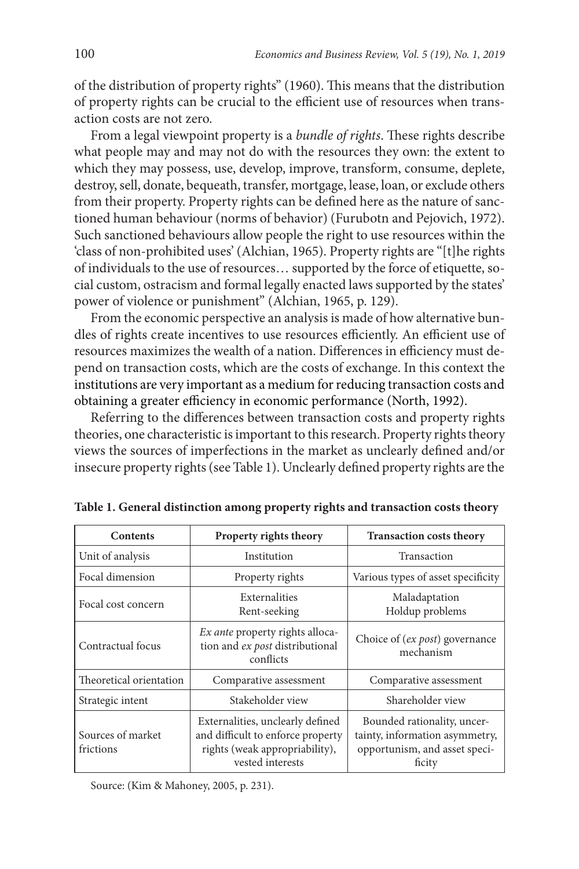of the distribution of property rights" (1960). This means that the distribution of property rights can be crucial to the efficient use of resources when transaction costs are not zero.

From a legal viewpoint property is a *bundle of rights*. These rights describe what people may and may not do with the resources they own: the extent to which they may possess, use, develop, improve, transform, consume, deplete, destroy, sell, donate, bequeath, transfer, mortgage, lease, loan, or exclude others from their property. Property rights can be defined here as the nature of sanctioned human behaviour (norms of behavior) (Furubotn and Pejovich, 1972). Such sanctioned behaviours allow people the right to use resources within the 'class of non-prohibited uses' (Alchian, 1965). Property rights are "[t]he rights of individuals to the use of resources… supported by the force of etiquette, social custom, ostracism and formal legally enacted laws supported by the states' power of violence or punishment" (Alchian, 1965, p. 129).

From the economic perspective an analysis is made of how alternative bundles of rights create incentives to use resources efficiently. An efficient use of resources maximizes the wealth of a nation. Differences in efficiency must depend on transaction costs, which are the costs of exchange. In this context the institutions are very important as a medium for reducing transaction costs and obtaining a greater efficiency in economic performance (North, 1992).

Referring to the differences between transaction costs and property rights theories, one characteristic is important to this research. Property rights theory views the sources of imperfections in the market as unclearly defined and/or insecure property rights (see Table 1). Unclearly defined property rights are the

| <b>Contents</b>                | Property rights theory                                                                                                      | <b>Transaction costs theory</b>                                                                          |
|--------------------------------|-----------------------------------------------------------------------------------------------------------------------------|----------------------------------------------------------------------------------------------------------|
| Unit of analysis               | Institution                                                                                                                 | Transaction                                                                                              |
| Focal dimension                | Property rights                                                                                                             | Various types of asset specificity                                                                       |
| Focal cost concern             | Externalities<br>Rent-seeking                                                                                               | Maladaptation<br>Holdup problems                                                                         |
| Contractual focus              | <i>Ex ante</i> property rights alloca-<br>tion and ex post distributional<br>conflicts                                      | Choice of (ex post) governance<br>mechanism                                                              |
| Theoretical orientation        | Comparative assessment                                                                                                      | Comparative assessment                                                                                   |
| Strategic intent               | Stakeholder view                                                                                                            | Shareholder view                                                                                         |
| Sources of market<br>frictions | Externalities, unclearly defined<br>and difficult to enforce property<br>rights (weak appropriability),<br>vested interests | Bounded rationality, uncer-<br>tainty, information asymmetry,<br>opportunism, and asset speci-<br>ficity |

**Table 1. General distinction among property rights and transaction costs theory**

Source: (Kim & Mahoney, 2005, p. 231).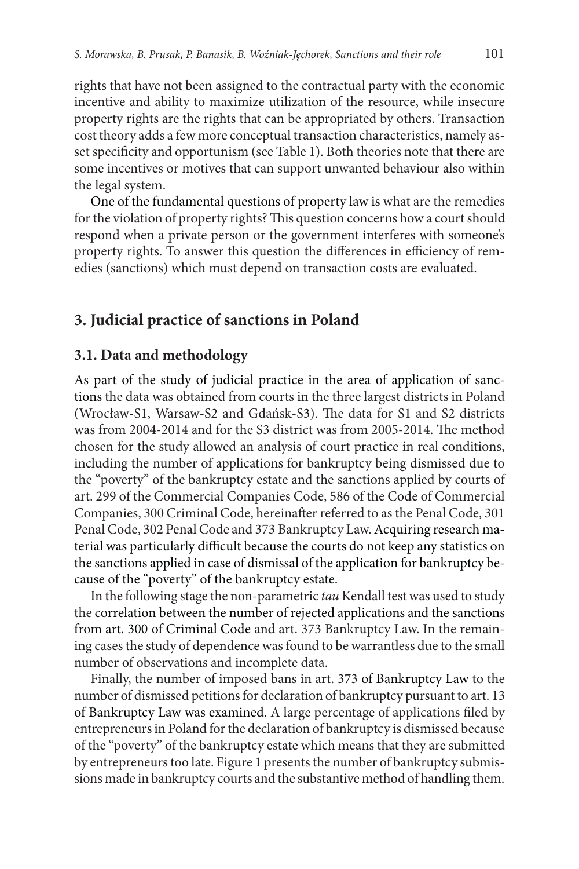rights that have not been assigned to the contractual party with the economic incentive and ability to maximize utilization of the resource, while insecure property rights are the rights that can be appropriated by others. Transaction cost theory adds a few more conceptual transaction characteristics, namely asset specificity and opportunism (see Table 1). Both theories note that there are some incentives or motives that can support unwanted behaviour also within the legal system.

One of the fundamental questions of property law is what are the remedies for the violation of property rights? This question concerns how a court should respond when a private person or the government interferes with someone's property rights. To answer this question the differences in efficiency of remedies (sanctions) which must depend on transaction costs are evaluated.

### **3. Judicial practice of sanctions in Poland**

#### **3.1. Data and methodology**

As part of the study of judicial practice in the area of application of sanctions the data was obtained from courts in the three largest districts in Poland (Wrocław-S1, Warsaw-S2 and Gdańsk-S3). The data for S1 and S2 districts was from 2004-2014 and for the S3 district was from 2005-2014. The method chosen for the study allowed an analysis of court practice in real conditions, including the number of applications for bankruptcy being dismissed due to the "poverty" of the bankruptcy estate and the sanctions applied by courts of art. 299 of the Commercial Companies Code, 586 of the Code of Commercial Companies, 300 Criminal Code, hereinafter referred to as the Penal Code, 301 Penal Code, 302 Penal Code and 373 Bankruptcy Law. Acquiring research material was particularly difficult because the courts do not keep any statistics on the sanctions applied in case of dismissal of the application for bankruptcy because of the "poverty" of the bankruptcy estate.

In the following stage the non-parametric *tau* Kendall test was used to study the correlation between the number of rejected applications and the sanctions from art. 300 of Criminal Code and art. 373 Bankruptcy Law. In the remaining cases the study of dependence was found to be warrantless due to the small number of observations and incomplete data.

Finally, the number of imposed bans in art. 373 of Bankruptcy Law to the number of dismissed petitions for declaration of bankruptcy pursuant to art. 13 of Bankruptcy Law was examined. A large percentage of applications filed by entrepreneurs in Poland for the declaration of bankruptcy is dismissed because of the "poverty" of the bankruptcy estate which means that they are submitted by entrepreneurs too late. Figure 1 presents the number of bankruptcy submissions made in bankruptcy courts and the substantive method of handling them.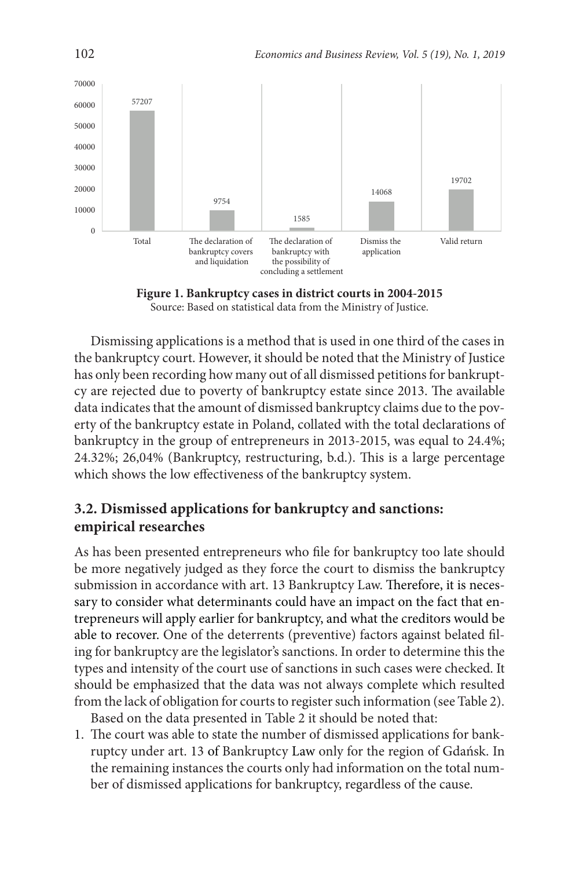

**Figure 1. Bankruptcy cases in district courts in 2004-2015** Source: Based on statistical data from the Ministry of Justice.

Dismissing applications is a method that is used in one third of the cases in the bankruptcy court. However, it should be noted that the Ministry of Justice has only been recording how many out of all dismissed petitions for bankruptcy are rejected due to poverty of bankruptcy estate since 2013. The available data indicates that the amount of dismissed bankruptcy claims due to the poverty of the bankruptcy estate in Poland, collated with the total declarations of bankruptcy in the group of entrepreneurs in 2013-2015, was equal to 24.4%; 24.32%; 26,04% (Bankruptcy, restructuring, b.d.). This is a large percentage which shows the low effectiveness of the bankruptcy system.

## **3.2. Dismissed applications for bankruptcy and sanctions: empirical researches**

As has been presented entrepreneurs who file for bankruptcy too late should be more negatively judged as they force the court to dismiss the bankruptcy submission in accordance with art. 13 Bankruptcy Law. Therefore, it is necessary to consider what determinants could have an impact on the fact that entrepreneurs will apply earlier for bankruptcy, and what the creditors would be able to recover. One of the deterrents (preventive) factors against belated filing for bankruptcy are the legislator's sanctions. In order to determine this the types and intensity of the court use of sanctions in such cases were checked. It should be emphasized that the data was not always complete which resulted from the lack of obligation for courts to register such information (see Table 2).

Based on the data presented in Table 2 it should be noted that:

1. The court was able to state the number of dismissed applications for bankruptcy under art. 13 of Bankruptcy Law only for the region of Gdańsk. In the remaining instances the courts only had information on the total number of dismissed applications for bankruptcy, regardless of the cause.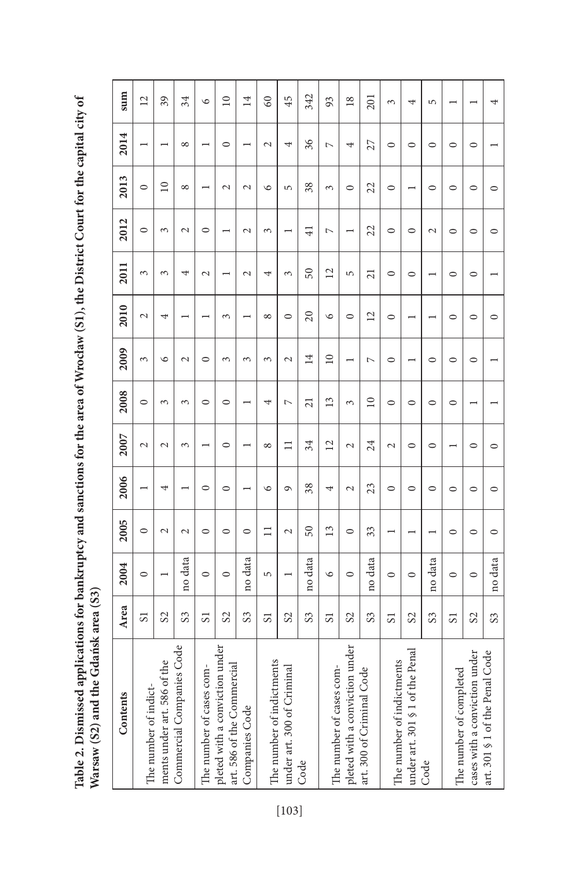Table 2. Dismissed applications for bankruptcy and sanctions for the area of Wrocław (S1), the District Court for the capital city of **Table 2. Dismissed applications for bankruptcy and sanctions for the area of Wrocław (S1), the District Court for the capital city of**  Warsaw (S2) and the Gdańsk area (S3) **Warsaw (S2) and the Gdańsk area (S3)**

| Contents                                                     | Area            | 2004           | 2005                     | 2006                     | 2007                     | 2008            | 2009                     | 2010                     | 2011                     | 2012           | 2013           | 2014           | sum             |
|--------------------------------------------------------------|-----------------|----------------|--------------------------|--------------------------|--------------------------|-----------------|--------------------------|--------------------------|--------------------------|----------------|----------------|----------------|-----------------|
| The number of indict-                                        | $\overline{S}$  | $\circ$        | $\circ$                  | $\overline{\phantom{0}}$ | $\sim$                   | $\circ$         | 3                        | $\overline{\mathcal{C}}$ | 3                        | $\circ$        | $\circ$        |                | $\overline{c}$  |
| ments under art. 586 of the                                  | $\mathcal{S}^2$ |                | $\mathcal{L}$            | 4                        | $\mathcal{L}$            | 3               | $\circ$                  | 4                        | 3                        | $\sim$         | $\overline{a}$ |                | 39              |
| Commercial Companies Code                                    | $\mathcal{S}$   | no data        | $\overline{\mathcal{C}}$ | $\overline{\phantom{0}}$ | 3                        | 3               | $\overline{\mathcal{C}}$ |                          | 4                        | $\sim$         | $\infty$       | $^{\circ}$     | 34              |
| The number of cases com-                                     | 51              | $\circ$        | $\circ$                  | $\circ$                  |                          | $\circ$         | $\circ$                  |                          | $\mathcal{L}$            | $\circ$        |                |                | $\circ$         |
| pleted with a conviction under<br>art. 586 of the Commercial | $\infty$        | $\circ$        | $\circ$                  | $\circ$                  | $\circ$                  | $\circ$         | 3                        | $\sim$                   |                          |                | $\sim$         | $\circ$        | $\supseteq$     |
| Companies Code                                               | $\mathcal{S}^2$ | no data        | $\circ$                  |                          |                          |                 | 3                        |                          | $\mathcal{L}$            | $\mathcal{L}$  | $\sim$         |                | $\overline{14}$ |
| The number of indictments                                    | 51              | 5              | $\Box$                   | $\circ$                  | $^{\circ}$               | 4               | 3                        | ${}^{\circ}$             | 4                        | 3              | $\circ$        | $\sim$         | $\infty$        |
| under art. 300 of Criminal                                   | $\infty$        | $\overline{ }$ | $\sim$                   | $\sigma$                 | $\Box$                   | $\overline{C}$  | $\mathbf{\sim}$          | $\circ$                  | $\sim$                   |                | 5              | 4              | 45              |
| Code                                                         | S3              | no data        | 50                       | 38                       | 34                       | $\overline{21}$ | $\overline{14}$          | 20                       | 50                       | $\overline{4}$ | 38             | 36             | 342             |
| The number of cases com-                                     | $\overline{S}$  | $\circ$        | 13                       | 4                        | $\overline{12}$          | 13              | $\overline{10}$          | $\circ$                  | $\overline{12}$          | $\overline{a}$ | 3              | $\overline{a}$ | 93              |
| pleted with a conviction under                               | S <sub>2</sub>  | $\circ$        | $\circ$                  | $\mathcal{L}$            | $\mathbf{\sim}$          | 3               | $\overline{\phantom{0}}$ | $\circ$                  | 5                        |                | $\circ$        | 4              | $\overline{18}$ |
| art. 300 of Criminal Code                                    | S <sub>3</sub>  | no data        | 33                       | 23                       | 24                       | $\overline{10}$ | $\overline{ }$           | $\overline{2}$           | $\overline{21}$          | 22             | 22             | 27             | 201             |
| The number of indictments                                    | $\overline{S}$  | $\circ$        |                          | $\circ$                  | $\overline{\mathcal{C}}$ | $\circ$         | $\circ$                  | $\circ$                  | $\circ$                  | $\circ$        | $\circ$        | $\circ$        | 3               |
| under art. 301 § 1 of the Penal                              | S <sub>2</sub>  | $\circ$        |                          | $\circ$                  | $\circ$                  | $\circ$         |                          |                          | $\circ$                  | $\circ$        |                | $\circ$        | 4               |
| Code                                                         | $\mathcal{S}^2$ | no data        |                          | $\circ$                  | $\circ$                  | $\circ$         | $\circ$                  |                          | $\overline{\phantom{0}}$ | $\sim$         | $\circ$        | $\circ$        | 5               |
| The number of completed                                      | $\overline{S}$  | $\circ$        | $\circ$                  | $\circ$                  |                          | $\circ$         | $\circ$                  | $\circ$                  | $\circ$                  | $\circ$        | $\circ$        | $\circ$        |                 |
| cases with a conviction under                                | S <sub>2</sub>  | $\circ$        | $\circ$                  | $\circ$                  | $\circ$                  |                 | $\circ$                  | $\circ$                  | $\circ$                  | $\circ$        | $\circ$        | $\circ$        |                 |
| art. 301 § 1 of the Penal Code                               | S <sub>3</sub>  | no data        | $\circ$                  | $\circ$                  | $\circ$                  |                 |                          | $\circ$                  |                          | $\circ$        | $\circ$        |                | 4               |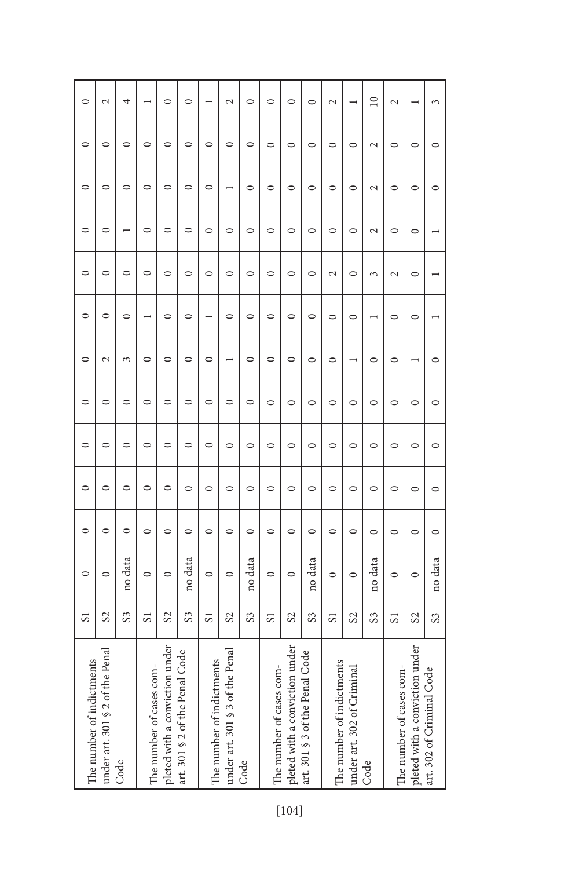| The number of indictments       | $\overline{S}$  | $\circ$ | $\circ$ | $\circ$ | $\circ$ | $\circ$ | $\circ$       | $\circ$ | $\circ$       | $\circ$       | $\circ$                  | $\circ$       | $\circ$         |
|---------------------------------|-----------------|---------|---------|---------|---------|---------|---------------|---------|---------------|---------------|--------------------------|---------------|-----------------|
| under art. 301 § 2 of the Penal | S <sub>2</sub>  | $\circ$ | $\circ$ | $\circ$ | 0       | $\circ$ | $\mathcal{L}$ | $\circ$ | $\circ$       | $\circ$       | $\circ$                  | $\circ$       | $\mathcal{L}$   |
| Code                            | S <sub>3</sub>  | no data | $\circ$ | $\circ$ | $\circ$ | $\circ$ | 3             | $\circ$ | $\circ$       |               | $\circ$                  | $\circ$       | 4               |
| The number of cases com-        | $\overline{S}$  | $\circ$ | $\circ$ | $\circ$ | $\circ$ | $\circ$ | $\circ$       |         | $\circ$       | $\circ$       | $\circ$                  | $\circ$       |                 |
| pleted with a conviction under  | S <sub>2</sub>  | $\circ$ | $\circ$ | $\circ$ | $\circ$ | $\circ$ | $\circ$       | $\circ$ | $\circ$       | $\circ$       | $\circ$                  | $\circ$       | $\circ$         |
| art. 301 § 2 of the Penal Code  | S <sub>3</sub>  | no data | $\circ$ | $\circ$ | $\circ$ | $\circ$ | $\circ$       | $\circ$ | $\circ$       | $\circ$       | $\circ$                  | $\circ$       | $\circ$         |
| The number of indictments       | 51              | $\circ$ | $\circ$ | $\circ$ | $\circ$ | $\circ$ | $\circ$       |         | $\circ$       | $\circ$       | $\circ$                  | $\circ$       |                 |
| under art. 301 § 3 of the Penal | S <sub>2</sub>  | $\circ$ | $\circ$ | $\circ$ | 0       | $\circ$ |               | $\circ$ | $\circ$       | $\circ$       | $\overline{\phantom{0}}$ | $\circ$       | $\sim$          |
| Code                            | S <sub>3</sub>  | no data | $\circ$ | $\circ$ | $\circ$ | $\circ$ | $\circ$       | $\circ$ | $\circ$       | $\circ$       | $\circ$                  | $\circ$       | $\circ$         |
| The number of cases com-        | $\overline{S}$  | $\circ$ | $\circ$ | $\circ$ | $\circ$ | $\circ$ | $\circ$       | $\circ$ | $\circ$       | $\circ$       | $\circ$                  | $\circ$       | $\circ$         |
| pleted with a conviction under  | $\mathcal{S}^2$ | $\circ$ | $\circ$ | $\circ$ | $\circ$ | $\circ$ | $\circ$       | $\circ$ | $\circ$       | $\circ$       | $\circ$                  | $\circ$       | 0               |
| art. 301 § 3 of the Penal Code  | S3              | no data | $\circ$ | $\circ$ | $\circ$ | $\circ$ | $\circ$       | $\circ$ | $\circ$       | $\circ$       | $\circ$                  | $\circ$       | 0               |
| The number of indictments       | 51              | $\circ$ | $\circ$ | $\circ$ | $\circ$ | $\circ$ | $\circ$       | $\circ$ | $\mathcal{L}$ | $\circ$       | $\circ$                  | $\circ$       | $\mathbf{\sim}$ |
| under art. 302 of Criminal      | $\infty$        | $\circ$ | $\circ$ | $\circ$ | $\circ$ | $\circ$ |               | $\circ$ | $\circ$       | $\circ$       | $\circ$                  | $\circ$       |                 |
| Code                            | $\mathcal{S}$   | no data | $\circ$ | $\circ$ | $\circ$ | $\circ$ | $\circ$       |         | 3             | $\mathcal{L}$ | $\overline{\mathcal{C}}$ | $\mathcal{L}$ | $\supseteq$     |
| The number of cases com-        | 51              | $\circ$ | $\circ$ | $\circ$ | $\circ$ | $\circ$ | $\circ$       | $\circ$ | $\mathcal{L}$ | $\circ$       | $\circ$                  | $\circ$       | $\sim$          |
| pleted with a conviction under  | $\infty$        | $\circ$ | $\circ$ | $\circ$ | $\circ$ | $\circ$ |               | $\circ$ | $\circ$       | $\circ$       | $\circ$                  | $\circ$       |                 |
| art. 302 of Criminal Code       | S <sub>3</sub>  | no data | $\circ$ | $\circ$ | $\circ$ | $\circ$ | $\circ$       |         |               |               | $\circ$                  | $\circ$       | 3               |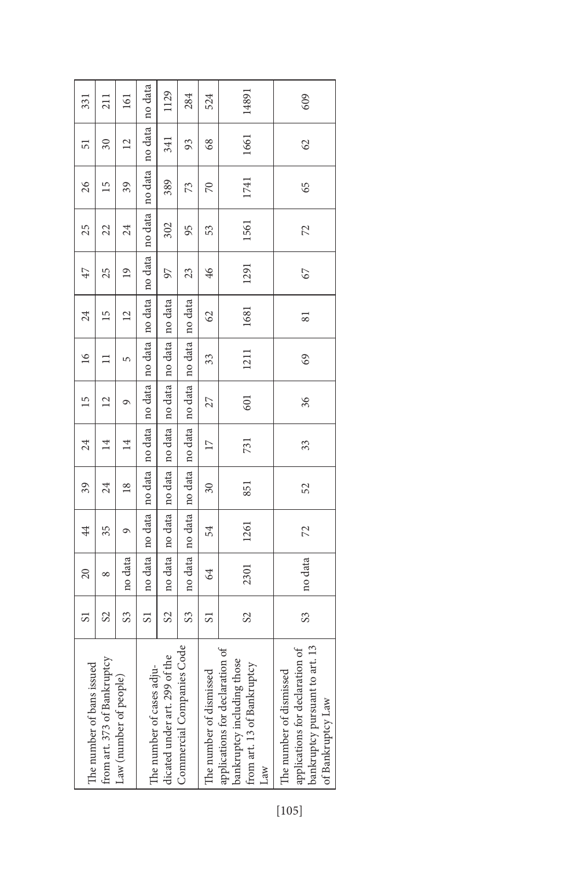| 331                       | 211                         | 161                    | no data                   | 1129                          | 284                       | 524                      | 14891                                                                                              | 609                                                                                                               |
|---------------------------|-----------------------------|------------------------|---------------------------|-------------------------------|---------------------------|--------------------------|----------------------------------------------------------------------------------------------------|-------------------------------------------------------------------------------------------------------------------|
| 51                        | $\overline{\mathcal{E}}$    | $\overline{c}$         | no data                   | 341                           | 93                        | 68                       | 1661                                                                                               | 62                                                                                                                |
| 26                        | 51                          | 39                     | no data                   | 389                           | 73                        | $\approx$                | 1741                                                                                               | 65                                                                                                                |
| 25                        | 22                          | 24                     | no data                   | 302                           | 95                        | 53                       | 1561                                                                                               | 72                                                                                                                |
| 47                        | 25                          | $\overline{19}$        | no data                   | 97                            | 23                        | 46                       | 1291                                                                                               | 67                                                                                                                |
| 24                        | $\overline{15}$             | $\overline{c}$         |                           |                               | no data                   | $\Im$                    | 1681                                                                                               | $\overline{8}$                                                                                                    |
| $\overline{16}$           |                             | 5                      | no data   no data         | no data   no data             | no data                   | 33                       | 1211                                                                                               | 69                                                                                                                |
| $\overline{15}$           | $\overline{2}$              | ᡋ                      | no data                   |                               | no data                   | 27                       | 601                                                                                                | 36                                                                                                                |
| 24                        | $\overline{14}$             | $\overline{14}$        | no data no data           | no data   no data   no data   | no data   no data         | 17                       | 731                                                                                                | 33                                                                                                                |
| 39                        | 24                          | $\frac{8}{2}$          |                           |                               |                           | $\overline{\mathcal{E}}$ | 851                                                                                                | 52                                                                                                                |
| 44                        | 35                          | ᡋ                      | no data   no data         | no data no data               | no data                   | 54                       | 1261                                                                                               | 72                                                                                                                |
| 20                        | ∞                           | no data                |                           |                               | no data                   | $\Im$                    | 2301                                                                                               | no data                                                                                                           |
| 51                        | S2                          | S3                     | 5                         | $\mathcal{S}$                 | S                         | 5                        | $\mathcal{S}$                                                                                      | $\mathcal{S}^2$                                                                                                   |
| The number of bans issued | from art. 373 of Bankruptcy | Law (number of people) | The number of cases adju- | dicated under art. 299 of the | Commercial Companies Code | The number of dismissed  | applications for declaration of<br>bankruptcy including those<br>from art. 13 of Bankruptcy<br>Law | bankruptcy pursuant to art. 13<br>applications for declaration of<br>The number of dismissed<br>of Bankruptcy Law |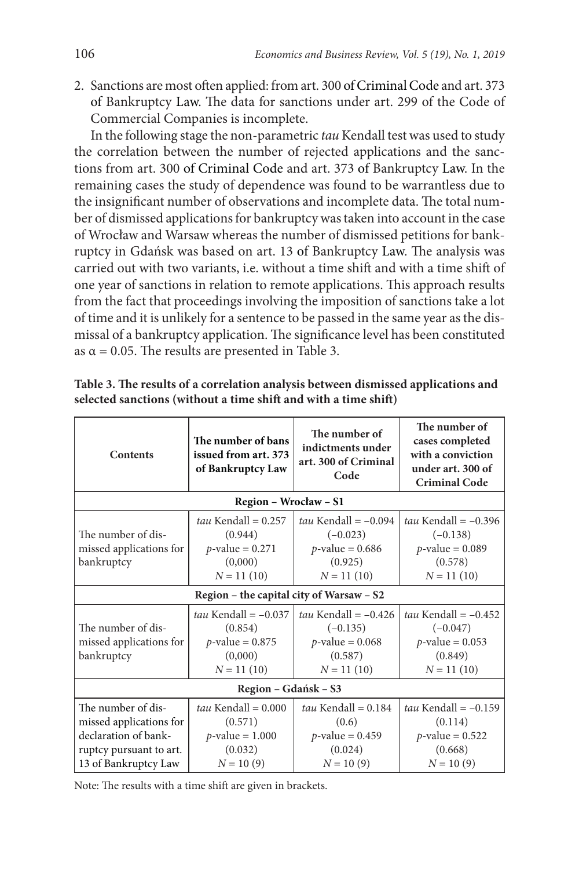2. Sanctions are most often applied: from art. 300 of Criminal Code and art. 373 of Bankruptcy Law. The data for sanctions under art. 299 of the Code of Commercial Companies is incomplete.

In the following stage the non-parametric *tau* Kendall test was used to study the correlation between the number of rejected applications and the sanctions from art. 300 of Criminal Code and art. 373 of Bankruptcy Law. In the remaining cases the study of dependence was found to be warrantless due to the insignificant number of observations and incomplete data. The total number of dismissed applications for bankruptcy was taken into account in the case of Wrocław and Warsaw whereas the number of dismissed petitions for bankruptcy in Gdańsk was based on art. 13 of Bankruptcy Law. The analysis was carried out with two variants, i.e. without a time shift and with a time shift of one year of sanctions in relation to remote applications. This approach results from the fact that proceedings involving the imposition of sanctions take a lot of time and it is unlikely for a sentence to be passed in the same year as the dismissal of a bankruptcy application. The significance level has been constituted as  $\alpha$  = 0.05. The results are presented in Table 3.

| <b>Contents</b>                                                                                                          | The number of bans<br>issued from art. 373<br>of Bankruptcy Law                    | The number of<br>indictments under<br>art. 300 of Criminal<br>Code                    | The number of<br>cases completed<br>with a conviction<br>under art. 300 of<br><b>Criminal Code</b> |
|--------------------------------------------------------------------------------------------------------------------------|------------------------------------------------------------------------------------|---------------------------------------------------------------------------------------|----------------------------------------------------------------------------------------------------|
|                                                                                                                          | Region - Wrocław - S1                                                              |                                                                                       |                                                                                                    |
| The number of dis-<br>missed applications for<br>bankruptcy                                                              | $tau$ Kendall = 0.257<br>(0.944)<br>$p$ -value = 0.271<br>(0,000)<br>$N = 11(10)$  | tau Kendall = $-0.094$<br>$(-0.023)$<br>$p$ -value = 0.686<br>(0.925)<br>$N = 11(10)$ | tau Kendall = $-0.396$<br>$(-0.138)$<br>$p$ -value = 0.089<br>(0.578)<br>$N = 11(10)$              |
|                                                                                                                          | Region - the capital city of Warsaw - S2                                           |                                                                                       |                                                                                                    |
| The number of dis-<br>missed applications for<br>bankruptcy                                                              | tau Kendall = $-0.037$<br>(0.854)<br>$p$ -value = 0.875<br>(0,000)<br>$N = 11(10)$ | tau Kendall = $-0.426$<br>$(-0.135)$<br>$p$ -value = 0.068<br>(0.587)<br>$N = 11(10)$ | tau Kendall = $-0.452$<br>$(-0.047)$<br><i>p</i> -value = $0.053$<br>(0.849)<br>$N = 11(10)$       |
|                                                                                                                          | Region - Gdańsk - S3                                                               |                                                                                       |                                                                                                    |
| The number of dis-<br>missed applications for<br>declaration of bank-<br>ruptcy pursuant to art.<br>13 of Bankruptcy Law | tau Kendall = $0.000$<br>(0.571)<br>$p$ -value = 1.000<br>(0.032)<br>$N = 10(9)$   | tau Kendall = $0.184$<br>(0.6)<br>$p$ -value = 0.459<br>(0.024)<br>$N = 10(9)$        | tau Kendall = $-0.159$<br>(0.114)<br>$p$ -value = 0.522<br>(0.668)<br>$N = 10(9)$                  |

**Table 3. The results of a correlation analysis between dismissed applications and selected sanctions (without a time shift and with a time shift)**

Note: The results with a time shift are given in brackets.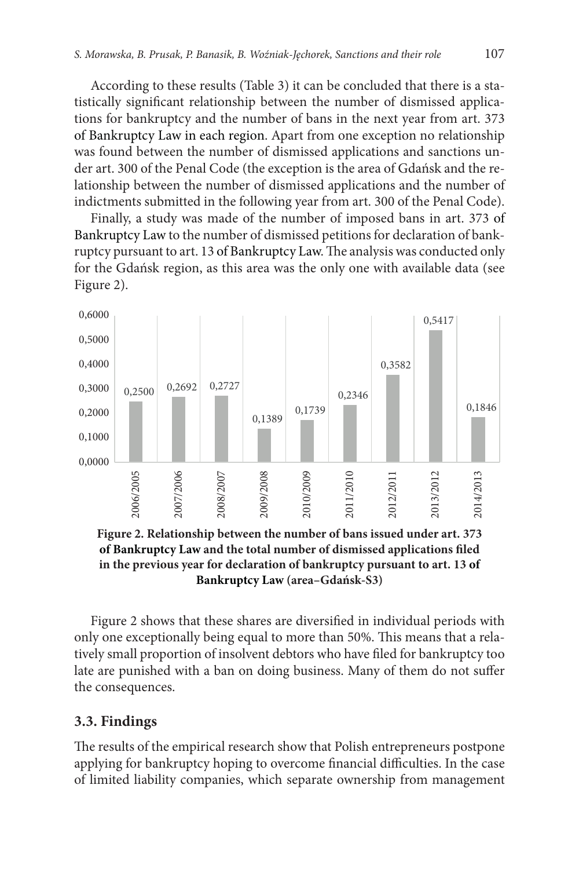According to these results (Table 3) it can be concluded that there is a statistically significant relationship between the number of dismissed applications for bankruptcy and the number of bans in the next year from art. 373 of Bankruptcy Law in each region. Apart from one exception no relationship was found between the number of dismissed applications and sanctions under art. 300 of the Penal Code (the exception is the area of Gdańsk and the relationship between the number of dismissed applications and the number of indictments submitted in the following year from art. 300 of the Penal Code).

Finally, a study was made of the number of imposed bans in art. 373 of Bankruptcy Law to the number of dismissed petitions for declaration of bankruptcy pursuant to art. 13 of Bankruptcy Law. The analysis was conducted only for the Gdańsk region, as this area was the only one with available data (see Figure 2).



**Figure 2. Relationship between the number of bans issued under art. 373 of Bankruptcy Law and the total number of dismissed applications filed in the previous year for declaration of bankruptcy pursuant to art. 13 of Bankruptcy Law (area–Gdańsk-S3)**

Figure 2 shows that these shares are diversified in individual periods with only one exceptionally being equal to more than 50%. This means that a relatively small proportion of insolvent debtors who have filed for bankruptcy too late are punished with a ban on doing business. Many of them do not suffer the consequences.

#### **3.3. Findings**

The results of the empirical research show that Polish entrepreneurs postpone applying for bankruptcy hoping to overcome financial difficulties. In the case of limited liability companies, which separate ownership from management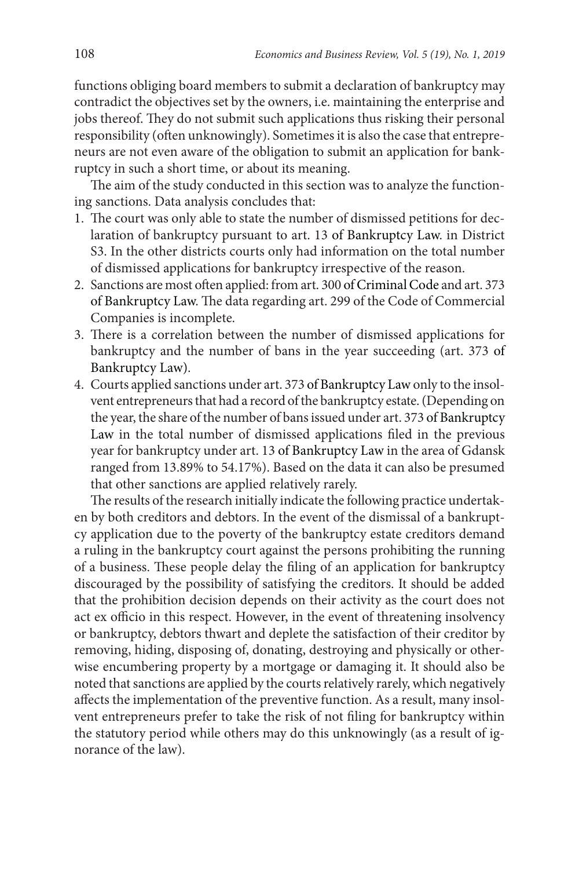functions obliging board members to submit a declaration of bankruptcy may contradict the objectives set by the owners, i.e. maintaining the enterprise and jobs thereof. They do not submit such applications thus risking their personal responsibility (often unknowingly). Sometimes it is also the case that entrepreneurs are not even aware of the obligation to submit an application for bankruptcy in such a short time, or about its meaning.

The aim of the study conducted in this section was to analyze the functioning sanctions. Data analysis concludes that:

- 1. The court was only able to state the number of dismissed petitions for declaration of bankruptcy pursuant to art. 13 of Bankruptcy Law. in District S3. In the other districts courts only had information on the total number of dismissed applications for bankruptcy irrespective of the reason.
- 2. Sanctions are most often applied: from art. 300 of Criminal Code and art. 373 of Bankruptcy Law. The data regarding art. 299 of the Code of Commercial Companies is incomplete.
- 3. There is a correlation between the number of dismissed applications for bankruptcy and the number of bans in the year succeeding (art. 373 of Bankruptcy Law).
- 4. Courts applied sanctions under art. 373 of Bankruptcy Law only to the insolvent entrepreneurs that had a record of the bankruptcy estate. (Depending on the year, the share of the number of bans issued under art. 373 of Bankruptcy Law in the total number of dismissed applications filed in the previous year for bankruptcy under art. 13 of Bankruptcy Law in the area of Gdansk ranged from 13.89% to 54.17%). Based on the data it can also be presumed that other sanctions are applied relatively rarely.

The results of the research initially indicate the following practice undertaken by both creditors and debtors. In the event of the dismissal of a bankruptcy application due to the poverty of the bankruptcy estate creditors demand a ruling in the bankruptcy court against the persons prohibiting the running of a business. These people delay the filing of an application for bankruptcy discouraged by the possibility of satisfying the creditors. It should be added that the prohibition decision depends on their activity as the court does not act ex officio in this respect. However, in the event of threatening insolvency or bankruptcy, debtors thwart and deplete the satisfaction of their creditor by removing, hiding, disposing of, donating, destroying and physically or otherwise encumbering property by a mortgage or damaging it. It should also be noted that sanctions are applied by the courts relatively rarely, which negatively affects the implementation of the preventive function. As a result, many insolvent entrepreneurs prefer to take the risk of not filing for bankruptcy within the statutory period while others may do this unknowingly (as a result of ignorance of the law).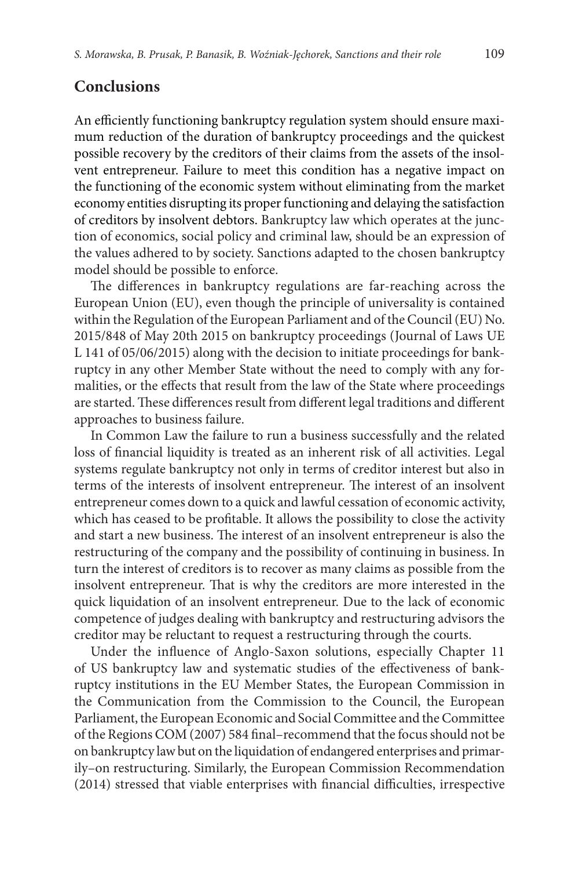### **Conclusions**

An efficiently functioning bankruptcy regulation system should ensure maximum reduction of the duration of bankruptcy proceedings and the quickest possible recovery by the creditors of their claims from the assets of the insolvent entrepreneur. Failure to meet this condition has a negative impact on the functioning of the economic system without eliminating from the market economy entities disrupting its proper functioning and delaying the satisfaction of creditors by insolvent debtors. Bankruptcy law which operates at the junction of economics, social policy and criminal law, should be an expression of the values adhered to by society. Sanctions adapted to the chosen bankruptcy model should be possible to enforce.

The differences in bankruptcy regulations are far-reaching across the European Union (EU), even though the principle of universality is contained within the Regulation of the European Parliament and of the Council (EU) No. 2015/848 of May 20th 2015 on bankruptcy proceedings (Journal of Laws UE L 141 of 05/06/2015) along with the decision to initiate proceedings for bankruptcy in any other Member State without the need to comply with any formalities, or the effects that result from the law of the State where proceedings are started. These differences result from different legal traditions and different approaches to business failure.

In Common Law the failure to run a business successfully and the related loss of financial liquidity is treated as an inherent risk of all activities. Legal systems regulate bankruptcy not only in terms of creditor interest but also in terms of the interests of insolvent entrepreneur. The interest of an insolvent entrepreneur comes down to a quick and lawful cessation of economic activity, which has ceased to be profitable. It allows the possibility to close the activity and start a new business. The interest of an insolvent entrepreneur is also the restructuring of the company and the possibility of continuing in business. In turn the interest of creditors is to recover as many claims as possible from the insolvent entrepreneur. That is why the creditors are more interested in the quick liquidation of an insolvent entrepreneur. Due to the lack of economic competence of judges dealing with bankruptcy and restructuring advisors the creditor may be reluctant to request a restructuring through the courts.

Under the influence of Anglo-Saxon solutions, especially Chapter 11 of US bankruptcy law and systematic studies of the effectiveness of bankruptcy institutions in the EU Member States, the European Commission in the Communication from the Commission to the Council, the European Parliament, the European Economic and Social Committee and the Committee of the Regions COM (2007) 584 final–recommend that the focus should not be on bankruptcy law but on the liquidation of endangered enterprises and primarily–on restructuring. Similarly, the European Commission Recommendation (2014) stressed that viable enterprises with financial difficulties, irrespective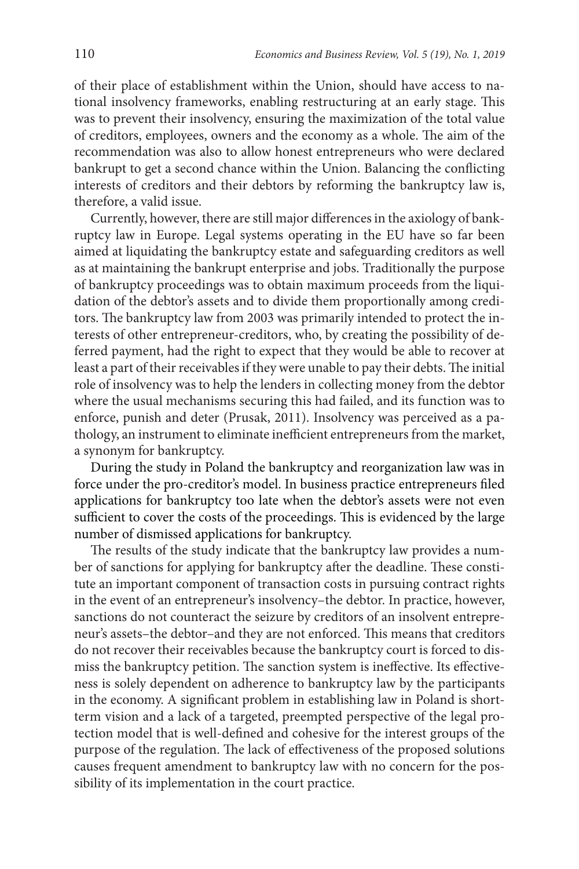of their place of establishment within the Union, should have access to national insolvency frameworks, enabling restructuring at an early stage. This was to prevent their insolvency, ensuring the maximization of the total value of creditors, employees, owners and the economy as a whole. The aim of the recommendation was also to allow honest entrepreneurs who were declared bankrupt to get a second chance within the Union. Balancing the conflicting interests of creditors and their debtors by reforming the bankruptcy law is, therefore, a valid issue.

Currently, however, there are still major differences in the axiology of bankruptcy law in Europe. Legal systems operating in the EU have so far been aimed at liquidating the bankruptcy estate and safeguarding creditors as well as at maintaining the bankrupt enterprise and jobs. Traditionally the purpose of bankruptcy proceedings was to obtain maximum proceeds from the liquidation of the debtor's assets and to divide them proportionally among creditors. The bankruptcy law from 2003 was primarily intended to protect the interests of other entrepreneur-creditors, who, by creating the possibility of deferred payment, had the right to expect that they would be able to recover at least a part of their receivables if they were unable to pay their debts. The initial role of insolvency was to help the lenders in collecting money from the debtor where the usual mechanisms securing this had failed, and its function was to enforce, punish and deter (Prusak, 2011). Insolvency was perceived as a pathology, an instrument to eliminate inefficient entrepreneurs from the market, a synonym for bankruptcy.

During the study in Poland the bankruptcy and reorganization law was in force under the pro-creditor's model. In business practice entrepreneurs filed applications for bankruptcy too late when the debtor's assets were not even sufficient to cover the costs of the proceedings. This is evidenced by the large number of dismissed applications for bankruptcy.

The results of the study indicate that the bankruptcy law provides a number of sanctions for applying for bankruptcy after the deadline. These constitute an important component of transaction costs in pursuing contract rights in the event of an entrepreneur's insolvency–the debtor. In practice, however, sanctions do not counteract the seizure by creditors of an insolvent entrepreneur's assets–the debtor–and they are not enforced. This means that creditors do not recover their receivables because the bankruptcy court is forced to dismiss the bankruptcy petition. The sanction system is ineffective. Its effectiveness is solely dependent on adherence to bankruptcy law by the participants in the economy. A significant problem in establishing law in Poland is shortterm vision and a lack of a targeted, preempted perspective of the legal protection model that is well-defined and cohesive for the interest groups of the purpose of the regulation. The lack of effectiveness of the proposed solutions causes frequent amendment to bankruptcy law with no concern for the possibility of its implementation in the court practice.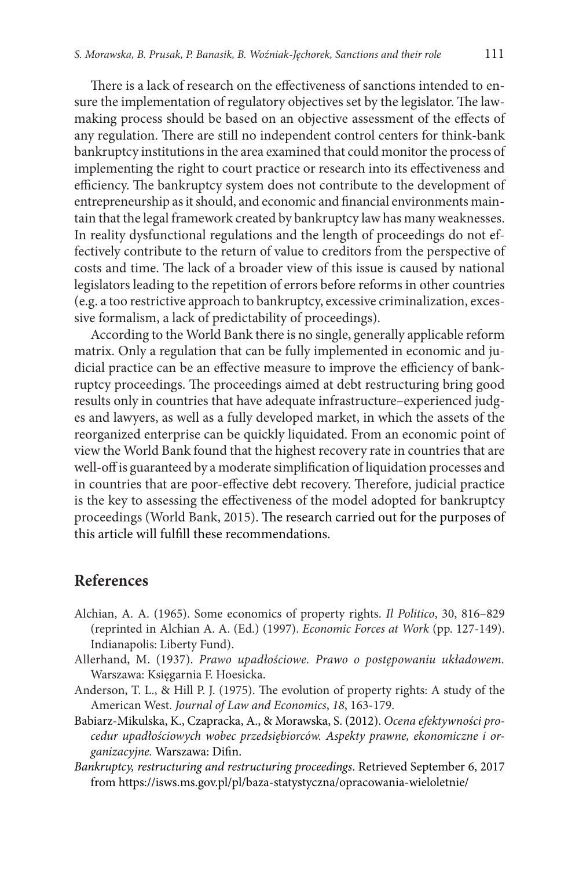There is a lack of research on the effectiveness of sanctions intended to ensure the implementation of regulatory objectives set by the legislator. The lawmaking process should be based on an objective assessment of the effects of any regulation. There are still no independent control centers for think-bank bankruptcy institutions in the area examined that could monitor the process of implementing the right to court practice or research into its effectiveness and efficiency. The bankruptcy system does not contribute to the development of entrepreneurship as it should, and economic and financial environments maintain that the legal framework created by bankruptcy law has many weaknesses. In reality dysfunctional regulations and the length of proceedings do not effectively contribute to the return of value to creditors from the perspective of costs and time. The lack of a broader view of this issue is caused by national legislators leading to the repetition of errors before reforms in other countries (e.g. a too restrictive approach to bankruptcy, excessive criminalization, excessive formalism, a lack of predictability of proceedings).

According to the World Bank there is no single, generally applicable reform matrix. Only a regulation that can be fully implemented in economic and judicial practice can be an effective measure to improve the efficiency of bankruptcy proceedings. The proceedings aimed at debt restructuring bring good results only in countries that have adequate infrastructure–experienced judges and lawyers, as well as a fully developed market, in which the assets of the reorganized enterprise can be quickly liquidated. From an economic point of view the World Bank found that the highest recovery rate in countries that are well-off is guaranteed by a moderate simplification of liquidation processes and in countries that are poor-effective debt recovery. Therefore, judicial practice is the key to assessing the effectiveness of the model adopted for bankruptcy proceedings (World Bank, 2015). The research carried out for the purposes of this article will fulfill these recommendations.

### **References**

- Alchian, A. A. (1965). Some economics of property rights. *Il Politico*, 30, 816–829 (reprinted in Alchian A. A. (Ed.) (1997). *Economic Forces at Work* (pp. 127-149). Indianapolis: Liberty Fund).
- Allerhand, M. (1937). *Prawo upadłościowe. Prawo o postępowaniu układowem.* Warszawa: Księgarnia F. Hoesicka.
- Anderson, T. L., & Hill P. J. (1975). The evolution of property rights: A study of the American West. *Journal of Law and Economics*, *18*, 163-179.
- Babiarz-Mikulska, K., Czapracka, A., & Morawska, S. (2012). *Ocena efektywności procedur upadłościowych wobec przedsiębiorców. Aspekty prawne, ekonomiczne i organizacyjne.* Warszawa: Difin.
- *Bankruptcy, restructuring and restructuring proceedings*. Retrieved September 6, 2017 from https://isws.ms.gov.pl/pl/baza-statystyczna/opracowania-wieloletnie/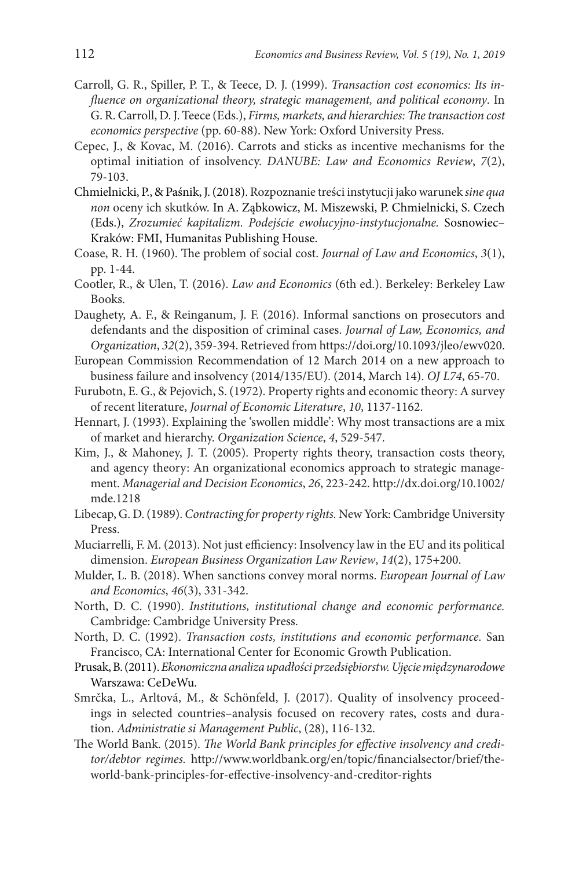- Carroll, G. R., Spiller, P. T., & Teece, D. J. (1999). *Transaction cost economics: Its influence on organizational theory, strategic management, and political economy*. In G. R. Carroll, D. J. Teece (Eds.), *Firms, markets, and hierarchies: The transaction cost economics perspective* (pp. 60-88). New York: Oxford University Press.
- Cepec, J., & Kovac, M. (2016). [Carrots and sticks as incentive mechanisms for the](https://ideas.repec.org/a/cmn/journl/y2016i2p79-103.html) [optimal initiation of insolvency.](https://ideas.repec.org/a/cmn/journl/y2016i2p79-103.html) *DANUBE: Law and Economics Review*, *7*(2), 79-103.
- Chmielnicki, P., & Paśnik, J. (2018). Rozpoznanie treści instytucji jako warunek *sine qua non* oceny ich skutków. In A. Ząbkowicz, M. Miszewski, P. Chmielnicki, S. Czech (Eds.), *Zrozumieć kapitalizm. Podejście ewolucyjno-instytucjonalne.* Sosnowiec– Kraków: FMI, Humanitas Publishing House.
- Coase, R. H. (1960). The problem of social cost. *Journal of Law and Economics*, *3*(1), pp. 1-44.
- Cootler, R., & Ulen, T. (2016). *Law and Economics* (6th ed.). Berkeley: Berkeley Law Books.
- Daughety, A. F., & Reinganum, J. F. (2016). Informal sanctions on prosecutors and defendants and the disposition of criminal cases. *Journal of Law, Economics, and Organization*, *32*(2), 359-394. Retrieved from<https://doi.org/10.1093/jleo/ewv020>.
- European Commission Recommendation of 12 March 2014 on a new approach to business failure and insolvency (2014/135/EU). (2014, March 14). *OJ L74*, 65-70.
- Furubotn, E. G., & Pejovich, S. (1972). Property rights and economic theory: A survey of recent literature, *Journal of Economic Literature*, *10*, 1137-1162.
- Hennart, J. (1993). Explaining the 'swollen middle': Why most transactions are a mix of market and hierarchy. *Organization Science*, *4*, 529-547.
- Kim, J., & Mahoney, J. T. (2005). Property rights theory, transaction costs theory, and agency theory: An organizational economics approach to strategic management. *Managerial and Decision Economics*, *26*, 223-242. http://dx.doi.org/10.1002/ mde.1218
- Libecap, G. D. (1989). *Contracting for property rights.* New York: Cambridge University Press.
- Muciarrelli, F. M. (2013). [Not just efficiency: Insolvency law in the EU and its political](https://link.springer.com/journal/40804) dimension. *[European Business Organization Law Review](https://link.springer.com/journal/40804)*, *14*([2](https://link.springer.com/journal/40804/14/2/page/1)), 175+200.
- Mulder, L. B. (2018). When sanctions convey moral norms. *European Journal of Law and Economics*, *46*(3), 331-342.
- North, D. C. (1990). *Institutions, institutional change and economic performance.* Cambridge: Cambridge University Press.
- North, D. C. (1992). *Transaction costs, institutions and economic performance.* San Francisco, CA: International Center for Economic Growth Publication.
- Prusak, B. (2011). *Ekonomiczna analiza upadłości przedsiębiorstw. Ujęcie międzynarodowe* Warszawa: CeDeWu.
- Smrčka, L., Arltová, M., & Schönfeld, J. (2017). Quality of insolvency proceedings in selected countries–analysis focused on recovery rates, costs and duration. *Administratie si Management Public*, (28), 116-132.
- The World Bank. (2015). *The World Bank principles for effective insolvency and creditor/debtor regimes.* http://www.worldbank.org/en/topic/financialsector/brief/theworld-bank-principles-for-effective-insolvency-and-creditor-rights